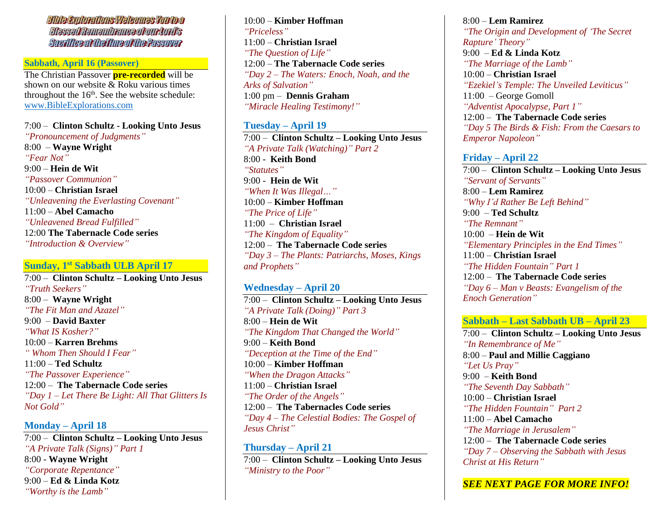**Bible Explorations Welcomes Youtoa Blessed Remembrance of our Lord's** Sacriffce at the Time of the Passover

### **Sabbath, April 16 (Passover)**

The Christian Passover **pre-recorded** will be shown on our website & Roku various times throughout the  $16<sup>th</sup>$ . See the website schedule: [www.BibleExplorations.com](http://www.bibleexplorations.com/)

7:00 – **Clinton Schultz - Looking Unto Jesus** *"Pronouncement of Judgments"* 8:00 – **Wayne Wright** *"Fear Not"* 9:00 – **Hein de Wit** *"Passover Communion"* 10:00 – **Christian Israel** *"Unleavening the Everlasting Covenant"* 11:00 – **Abel Camacho** *"Unleavened Bread Fulfilled"* 12:00 **The Tabernacle Code series** *"Introduction & Overview"*

#### **Sunday, 1st Sabbath ULB April 17**

7:00 – **Clinton Schultz – Looking Unto Jesus** *"Truth Seekers"* 8:00 – **Wayne Wright** *"The Fit Man and Azazel"* 9:00 – **David Baxter** *"What IS Kosher?"* 10:00 – **Karren Brehms** *" Whom Then Should I Fear"* 11:00 – **Ted Schultz** *"The Passover Experience"* 12:00 – **The Tabernacle Code series** *"Day 1 – Let There Be Light: All That Glitters Is Not Gold"*

**Monday – April 18** 7:00 – **Clinton Schultz – Looking Unto Jesus** *"A Private Talk (Signs)" Part 1* 8:00 - **Wayne Wright** *"Corporate Repentance"* 9:00 – **Ed & Linda Kotz** *"Worthy is the Lamb"*

10:00 – **Kimber Hoffman** *"Priceless"* 11:00 – **Christian Israel** *"The Question of Life"* 12:00 – **The Tabernacle Code series** *"Day 2 – The Waters: Enoch, Noah, and the Arks of Salvation"* 1:00 pm – **Dennis Graham** *"Miracle Healing Testimony!"*

## **Tuesday – April 19**

7:00 – **Clinton Schultz – Looking Unto Jesus** *"A Private Talk (Watching)" Part 2* 8:00 - **Keith Bond** *"Statutes"* 9:00 - **Hein de Wit** *"When It Was Illegal…"* 10:00 – **Kimber Hoffman** *"The Price of Life"* 11:00 – **Christian Israel** *"The Kingdom of Equality"* 12:00 – **The Tabernacle Code series** *"Day 3 – The Plants: Patriarchs, Moses, Kings and Prophets"*

#### **Wednesday – April 20**

7:00 – **Clinton Schultz – Looking Unto Jesus** *"A Private Talk (Doing)" Part 3* 8:00 – **Hein de Wit** *"The Kingdom That Changed the World"* 9:00 – **Keith Bond** *"Deception at the Time of the End"* 10:00 – **Kimber Hoffman** *"When the Dragon Attacks"* 11:00 – **Christian Israel** *"The Order of the Angels"* 12:00 – **The Tabernacles Code series** *"Day 4 – The Celestial Bodies: The Gospel of Jesus Christ"*

**Thursday – April 21** 7:00 – **Clinton Schultz – Looking Unto Jesus** *"Ministry to the Poor"*

8:00 – **Lem Ramirez** *"The Origin and Development of 'The Secret Rapture' Theory"* 9:00 – **Ed & Linda Kotz** *"The Marriage of the Lamb"* 10:00 – **Christian Israel** *"Ezekiel's Temple: The Unveiled Leviticus"* 11:00 – George Gomoll *"Adventist Apocalypse, Part 1"* 12:00 – **The Tabernacle Code series** *"Day 5 The Birds & Fish: From the Caesars to Emperor Napoleon"*

#### **Friday – April 22**

7:00 – **Clinton Schultz – Looking Unto Jesus** *"Servant of Servants"* 8:00 – **Lem Ramirez** *"Why I'd Rather Be Left Behind"* 9:00 – **Ted Schultz** *"The Remnant"* 10:00 – **Hein de Wit** *"Elementary Principles in the End Times"* 11:00 – **Christian Israel** *"The Hidden Fountain" Part 1* 12:00 – **The Tabernacle Code series** *"Day 6 – Man v Beasts: Evangelism of the Enoch Generation"*

#### **Sabbath – Last Sabbath UB – April 23**

7:00 – **Clinton Schultz – Looking Unto Jesus** *"In Remembrance of Me"* 8:00 – **Paul and Millie Caggiano** *"Let Us Pray"* 9:00 – **Keith Bond** *"The Seventh Day Sabbath"* 10:00 – **Christian Israel** *"The Hidden Fountain" Part 2* 11:00 – **Abel Camacho** *"The Marriage in Jerusalem"* 12:00 – **The Tabernacle Code series** *"Day 7 – Observing the Sabbath with Jesus Christ at His Return"*

*SEE NEXT PAGE FOR MORE INFO!*